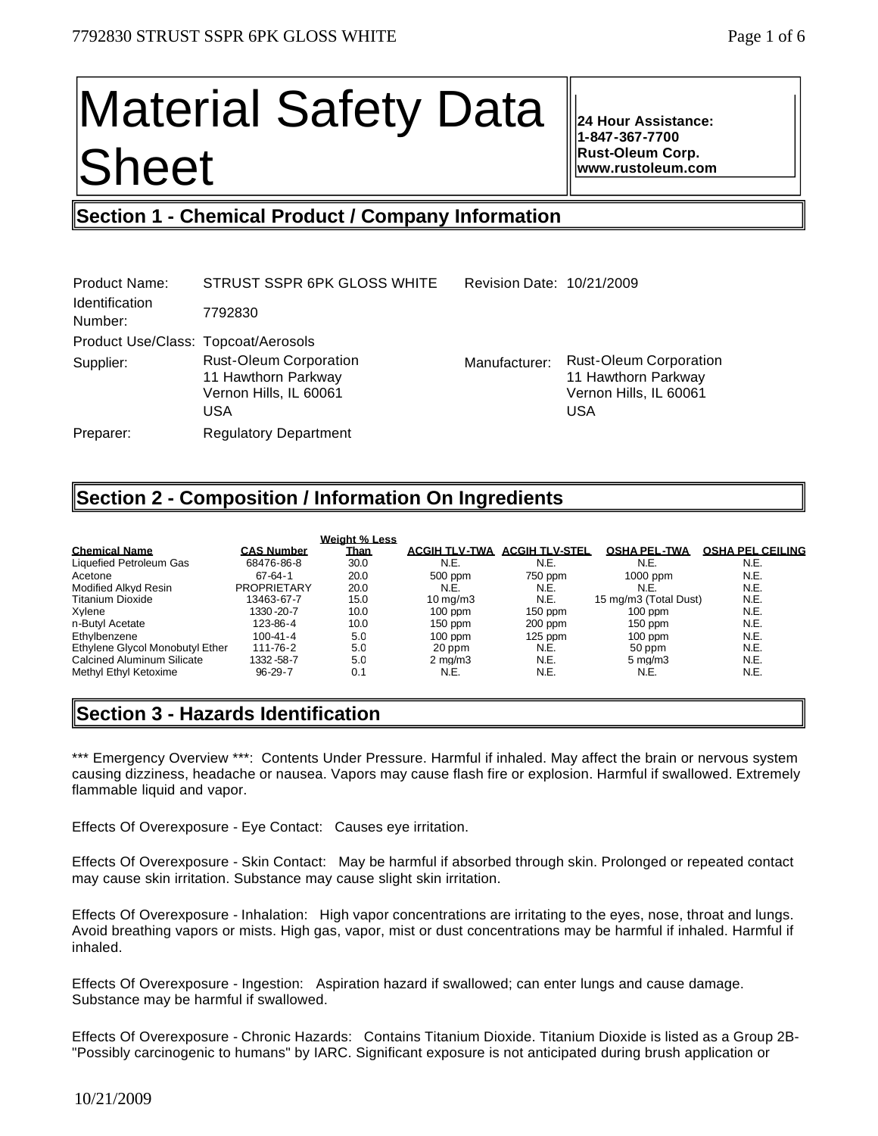# Material Safety Data Sheet

**24 Hour Assistance: 1-847-367-7700 Rust-Oleum Corp. www.rustoleum.com** 

# **Section 1 - Chemical Product / Company Information**

| Product Name:<br><b>Identification</b><br>Number: | STRUST SSPR 6PK GLOSS WHITE<br>7792830                                                | Revision Date: 10/21/2009 |                                                                                              |
|---------------------------------------------------|---------------------------------------------------------------------------------------|---------------------------|----------------------------------------------------------------------------------------------|
| Product Use/Class: Topcoat/Aerosols               |                                                                                       |                           |                                                                                              |
| Supplier:                                         | <b>Rust-Oleum Corporation</b><br>11 Hawthorn Parkway<br>Vernon Hills, IL 60061<br>USA | Manufacturer:             | <b>Rust-Oleum Corporation</b><br>11 Hawthorn Parkway<br>Vernon Hills, IL 60061<br><b>USA</b> |
| Preparer:                                         | <b>Regulatory Department</b>                                                          |                           |                                                                                              |

# **Section 2 - Composition / Information On Ingredients**

|                                 |                    | <b>Weight % Less</b> |                       |                       |                       |                         |
|---------------------------------|--------------------|----------------------|-----------------------|-----------------------|-----------------------|-------------------------|
| <b>Chemical Name</b>            | <b>CAS Number</b>  | <b>Than</b>          | <b>ACGIH TLV-TWA</b>  | <b>ACGIH TLV-STEL</b> | <b>OSHA PEL-TWA</b>   | <b>OSHA PEL CEILING</b> |
| Liquefied Petroleum Gas         | 68476-86-8         | 30.0                 | N.E.                  | N.E.                  | N.E.                  | N.E.                    |
| Acetone                         | $67 - 64 - 1$      | 20.0                 | 500 ppm               | 750 ppm               | 1000 ppm              | N.E.                    |
| Modified Alkyd Resin            | <b>PROPRIETARY</b> | 20.0                 | N.E.                  | N.E.                  | N.E.                  | N.E.                    |
| Titanium Dioxide                | 13463-67-7         | 15.0                 | $10 \,\mathrm{ma/m3}$ | N.E.                  | 15 mg/m3 (Total Dust) | N.E.                    |
| Xvlene                          | 1330-20-7          | 10.0                 | $100$ ppm             | $150$ ppm             | $100$ ppm             | N.E.                    |
| n-Butyl Acetate                 | 123-86-4           | 10.0                 | $150$ ppm             | $200$ ppm             | $150$ ppm             | N.E.                    |
| Ethylbenzene                    | $100 - 41 - 4$     | 5.0                  | $100$ ppm             | $125$ ppm             | $100$ ppm             | N.E.                    |
| Ethylene Givcol Monobutyl Ether | 111-76-2           | 5.0                  | 20 ppm                | N.E.                  | 50 ppm                | N.E.                    |
| Calcined Aluminum Silicate      | 1332-58-7          | 5.0                  | $2 \text{ ma/m}$ 3    | N.E.                  | $5 \text{ ma/m}$ 3    | N.E.                    |
| Methyl Ethyl Ketoxime           | $96 - 29 - 7$      | 0.1                  | N.E.                  | N.E.                  | N.E.                  | N.E.                    |

# **Section 3 - Hazards Identification**

\*\*\* Emergency Overview \*\*\*: Contents Under Pressure. Harmful if inhaled. May affect the brain or nervous system causing dizziness, headache or nausea. Vapors may cause flash fire or explosion. Harmful if swallowed. Extremely flammable liquid and vapor.

Effects Of Overexposure - Eye Contact: Causes eye irritation.

Effects Of Overexposure - Skin Contact: May be harmful if absorbed through skin. Prolonged or repeated contact may cause skin irritation. Substance may cause slight skin irritation.

Effects Of Overexposure - Inhalation: High vapor concentrations are irritating to the eyes, nose, throat and lungs. Avoid breathing vapors or mists. High gas, vapor, mist or dust concentrations may be harmful if inhaled. Harmful if inhaled.

Effects Of Overexposure - Ingestion: Aspiration hazard if swallowed; can enter lungs and cause damage. Substance may be harmful if swallowed.

Effects Of Overexposure - Chronic Hazards: Contains Titanium Dioxide. Titanium Dioxide is listed as a Group 2B- "Possibly carcinogenic to humans" by IARC. Significant exposure is not anticipated during brush application or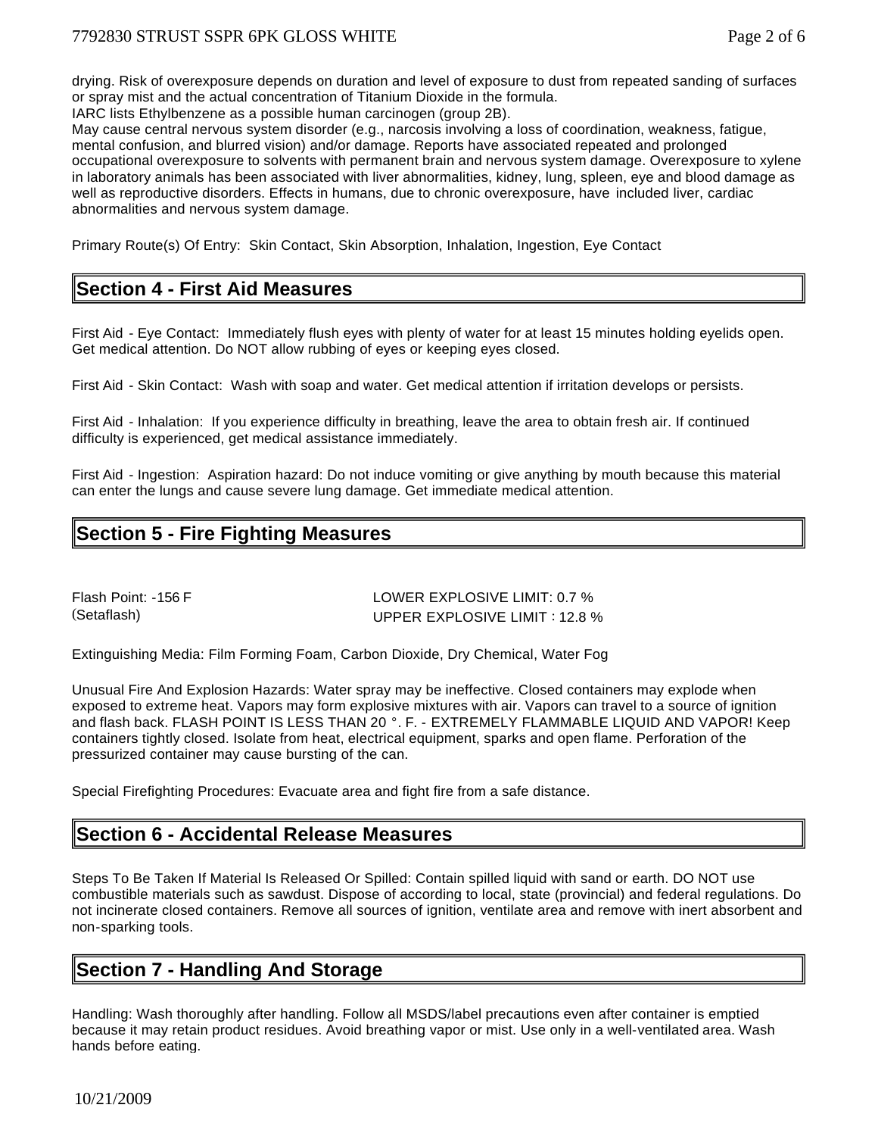drying. Risk of overexposure depends on duration and level of exposure to dust from repeated sanding of surfaces or spray mist and the actual concentration of Titanium Dioxide in the formula.

IARC lists Ethylbenzene as a possible human carcinogen (group 2B).

May cause central nervous system disorder (e.g., narcosis involving a loss of coordination, weakness, fatigue, mental confusion, and blurred vision) and/or damage. Reports have associated repeated and prolonged occupational overexposure to solvents with permanent brain and nervous system damage. Overexposure to xylene in laboratory animals has been associated with liver abnormalities, kidney, lung, spleen, eye and blood damage as well as reproductive disorders. Effects in humans, due to chronic overexposure, have included liver, cardiac abnormalities and nervous system damage.

Primary Route(s) Of Entry: Skin Contact, Skin Absorption, Inhalation, Ingestion, Eye Contact

# **Section 4 - First Aid Measures**

First Aid - Eye Contact: Immediately flush eyes with plenty of water for at least 15 minutes holding eyelids open. Get medical attention. Do NOT allow rubbing of eyes or keeping eyes closed.

First Aid - Skin Contact: Wash with soap and water. Get medical attention if irritation develops or persists.

First Aid - Inhalation: If you experience difficulty in breathing, leave the area to obtain fresh air. If continued difficulty is experienced, get medical assistance immediately.

First Aid - Ingestion: Aspiration hazard: Do not induce vomiting or give anything by mouth because this material can enter the lungs and cause severe lung damage. Get immediate medical attention.

# **Section 5 - Fire Fighting Measures**

Flash Point: -156 F LOWER EXPLOSIVE LIMIT: 0.7 % (Setaflash) UPPER EXPLOSIVE LIMIT : 12.8 %

Extinguishing Media: Film Forming Foam, Carbon Dioxide, Dry Chemical, Water Fog

Unusual Fire And Explosion Hazards: Water spray may be ineffective. Closed containers may explode when exposed to extreme heat. Vapors may form explosive mixtures with air. Vapors can travel to a source of ignition and flash back. FLASH POINT IS LESS THAN 20 °. F. - EXTREMELY FLAMMABLE LIQUID AND VAPOR! Keep containers tightly closed. Isolate from heat, electrical equipment, sparks and open flame. Perforation of the pressurized container may cause bursting of the can.

Special Firefighting Procedures: Evacuate area and fight fire from a safe distance.

# **Section 6 - Accidental Release Measures**

Steps To Be Taken If Material Is Released Or Spilled: Contain spilled liquid with sand or earth. DO NOT use combustible materials such as sawdust. Dispose of according to local, state (provincial) and federal regulations. Do not incinerate closed containers. Remove all sources of ignition, ventilate area and remove with inert absorbent and non-sparking tools.

# **Section 7 - Handling And Storage**

Handling: Wash thoroughly after handling. Follow all MSDS/label precautions even after container is emptied because it may retain product residues. Avoid breathing vapor or mist. Use only in a well-ventilated area. Wash hands before eating.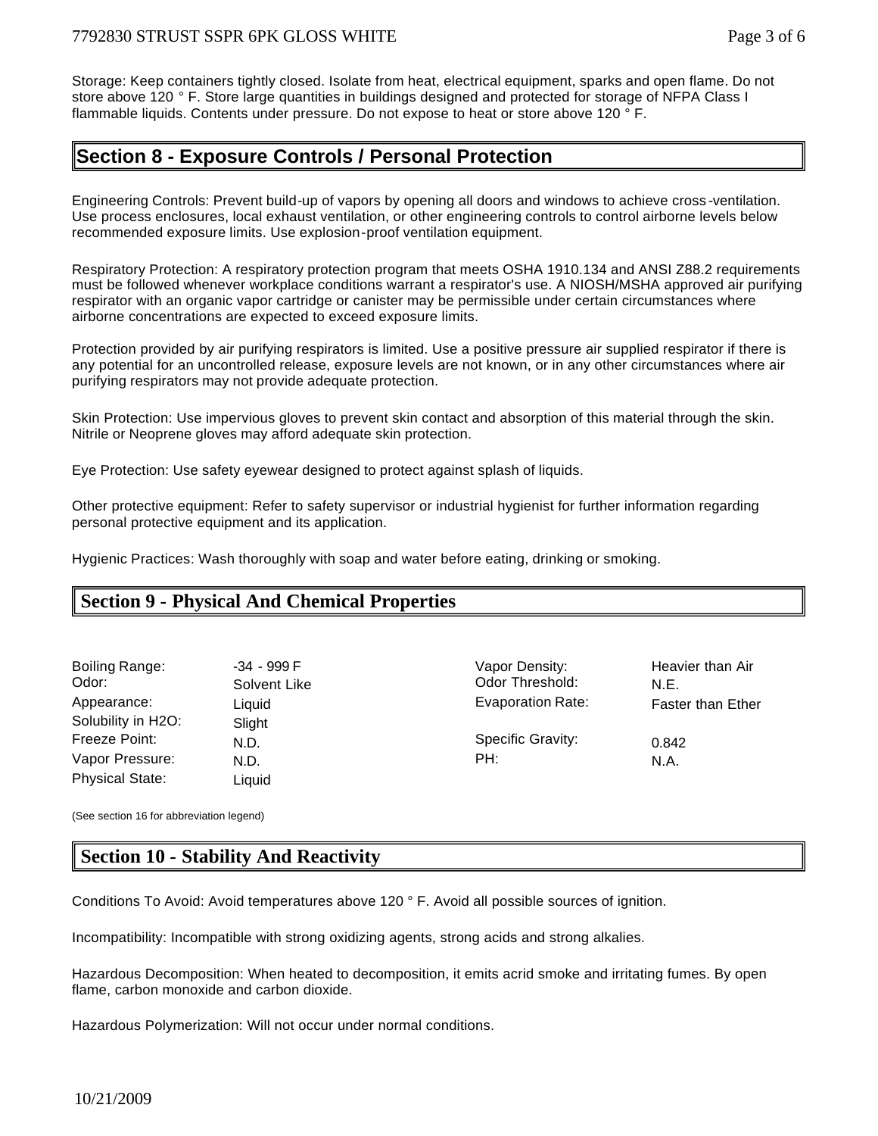Storage: Keep containers tightly closed. Isolate from heat, electrical equipment, sparks and open flame. Do not store above 120 ° F. Store large quantities in buildings designed and protected for storage of NFPA Class I flammable liquids. Contents under pressure. Do not expose to heat or store above 120 ° F.

# **Section 8 - Exposure Controls / Personal Protection**

Engineering Controls: Prevent build-up of vapors by opening all doors and windows to achieve cross -ventilation. Use process enclosures, local exhaust ventilation, or other engineering controls to control airborne levels below recommended exposure limits. Use explosion-proof ventilation equipment.

Respiratory Protection: A respiratory protection program that meets OSHA 1910.134 and ANSI Z88.2 requirements must be followed whenever workplace conditions warrant a respirator's use. A NIOSH/MSHA approved air purifying respirator with an organic vapor cartridge or canister may be permissible under certain circumstances where airborne concentrations are expected to exceed exposure limits.

Protection provided by air purifying respirators is limited. Use a positive pressure air supplied respirator if there is any potential for an uncontrolled release, exposure levels are not known, or in any other circumstances where air purifying respirators may not provide adequate protection.

Skin Protection: Use impervious gloves to prevent skin contact and absorption of this material through the skin. Nitrile or Neoprene gloves may afford adequate skin protection.

Eye Protection: Use safety eyewear designed to protect against splash of liquids.

Other protective equipment: Refer to safety supervisor or industrial hygienist for further information regarding personal protective equipment and its application.

Hygienic Practices: Wash thoroughly with soap and water before eating, drinking or smoking.

# **Section 9 - Physical And Chemical Properties**

| Boiling Range:         | -34 - 999 F  | Vapor Density:           | Hea  |
|------------------------|--------------|--------------------------|------|
| Odor:                  | Solvent Like | Odor Threshold:          | N.E. |
| Appearance:            | Liquid       | <b>Evaporation Rate:</b> | Fast |
| Solubility in H2O:     | Slight       |                          |      |
| Freeze Point:          | N.D.         | <b>Specific Gravity:</b> | 0.84 |
| Vapor Pressure:        | N.D.         | PH:                      | N.A. |
| <b>Physical State:</b> | Liquid       |                          |      |

F South Range: Vapor Density: Heavier than Air The Codor Threshold: N.E. Evaporation Rate: Faster than Ether Specific Gravity: 0.842

(See section 16 for abbreviation legend)

# **Section 10 - Stability And Reactivity**

Conditions To Avoid: Avoid temperatures above 120 ° F. Avoid all possible sources of ignition.

Incompatibility: Incompatible with strong oxidizing agents, strong acids and strong alkalies.

Hazardous Decomposition: When heated to decomposition, it emits acrid smoke and irritating fumes. By open flame, carbon monoxide and carbon dioxide.

Hazardous Polymerization: Will not occur under normal conditions.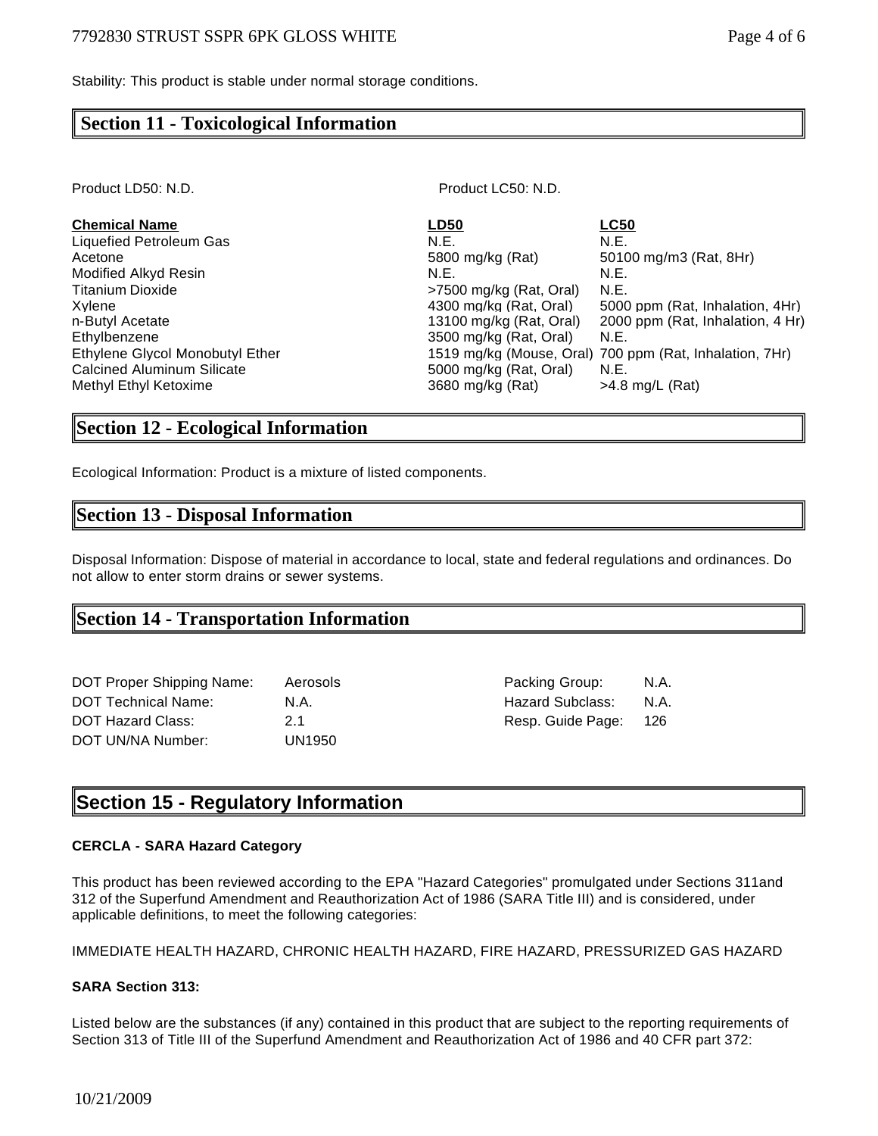Stability: This product is stable under normal storage conditions.

## **Section 11 - Toxicological Information**

Product LD50: N.D. Product LC50: N.D.

| <b>Chemical Name</b>              | <b>LD50</b>             | <b>LC50</b>                                             |
|-----------------------------------|-------------------------|---------------------------------------------------------|
| Liquefied Petroleum Gas           | N.E.                    | N.E.                                                    |
| Acetone                           | 5800 mg/kg (Rat)        | 50100 mg/m3 (Rat, 8Hr)                                  |
| Modified Alkyd Resin              | N.E.                    | N.E.                                                    |
| <b>Titanium Dioxide</b>           | >7500 mg/kg (Rat, Oral) | N.E.                                                    |
| Xvlene                            | 4300 mg/kg (Rat. Oral)  | 5000 ppm (Rat, Inhalation, 4Hr)                         |
| n-Butyl Acetate                   | 13100 mg/kg (Rat, Oral) | 2000 ppm (Rat, Inhalation, 4 Hr)                        |
| Ethylbenzene                      | 3500 mg/kg (Rat, Oral)  | N.E.                                                    |
| Ethylene Glycol Monobutyl Ether   |                         | 1519 mg/kg (Mouse, Oral) 700 ppm (Rat, Inhalation, 7Hr) |
| <b>Calcined Aluminum Silicate</b> | 5000 mg/kg (Rat, Oral)  | N.E.                                                    |
| Methyl Ethyl Ketoxime             | 3680 mg/kg (Rat)        | $>4.8$ mg/L (Rat)                                       |

## **Section 12 - Ecological Information**

Ecological Information: Product is a mixture of listed components.

## **Section 13 - Disposal Information**

Disposal Information: Dispose of material in accordance to local, state and federal regulations and ordinances. Do not allow to enter storm drains or sewer systems.

## **Section 14 - Transportation Information**

| DOT Proper Shipping Name:  | Aerosols |
|----------------------------|----------|
| <b>DOT Technical Name:</b> | N.A.     |
| <b>DOT Hazard Class:</b>   | 21       |
| DOT UN/NA Number:          | UN1950   |

Shipping Contracts Packing Group: N.A. Hazard Subclass: N.A. Resp. Guide Page: 126

# **Section 15 - Regulatory Information**

#### **CERCLA - SARA Hazard Category**

This product has been reviewed according to the EPA "Hazard Categories" promulgated under Sections 311and 312 of the Superfund Amendment and Reauthorization Act of 1986 (SARA Title III) and is considered, under applicable definitions, to meet the following categories:

#### IMMEDIATE HEALTH HAZARD, CHRONIC HEALTH HAZARD, FIRE HAZARD, PRESSURIZED GAS HAZARD

#### **SARA Section 313:**

Listed below are the substances (if any) contained in this product that are subject to the reporting requirements of Section 313 of Title III of the Superfund Amendment and Reauthorization Act of 1986 and 40 CFR part 372: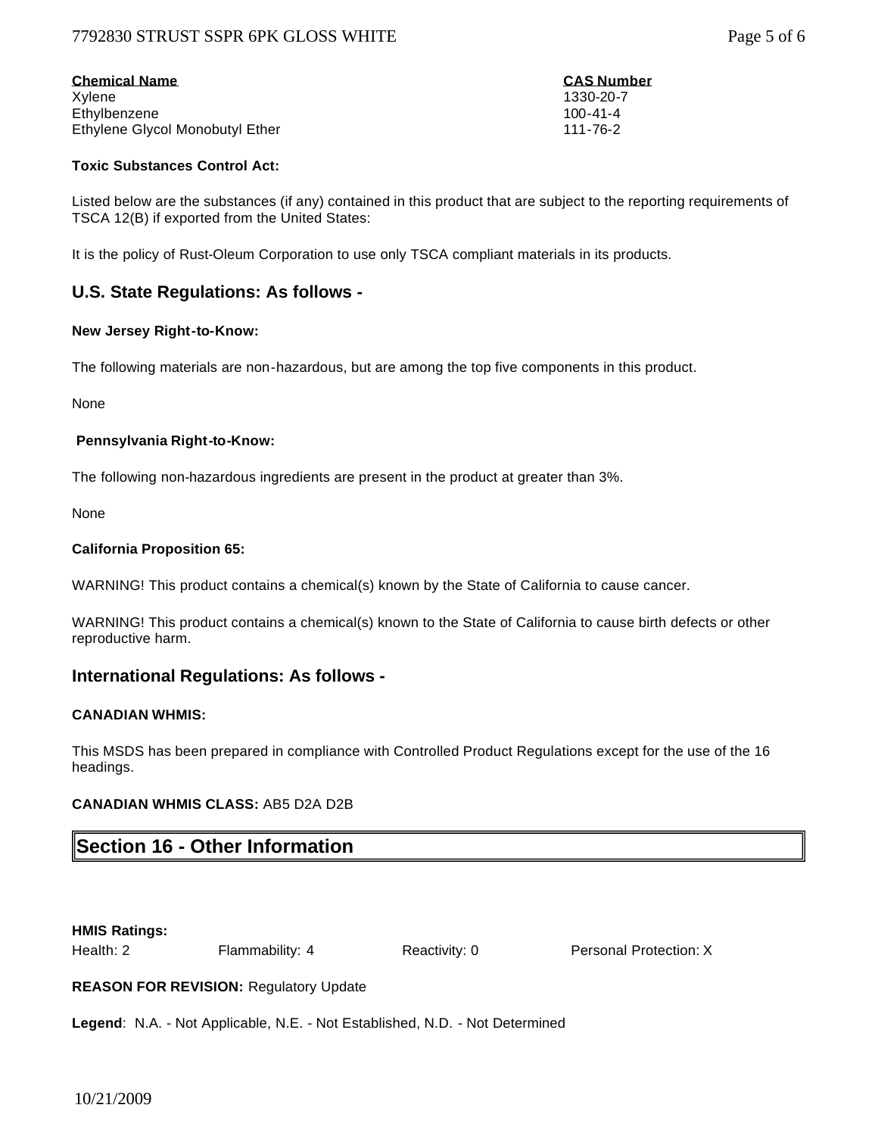## 7792830 STRUST SSPR 6PK GLOSS WHITE Page 5 of 6

| <b>Chemical Name</b>            | <b>CAS Number</b> |
|---------------------------------|-------------------|
| Xvlene                          | 1330-20-7         |
| Ethylbenzene                    | $100 - 41 - 4$    |
| Ethylene Givcol Monobutyl Ether | 111-76-2          |

#### **Toxic Substances Control Act:**

Listed below are the substances (if any) contained in this product that are subject to the reporting requirements of TSCA 12(B) if exported from the United States:

It is the policy of Rust-Oleum Corporation to use only TSCA compliant materials in its products.

## **U.S. State Regulations: As follows -**

#### **New Jersey Right-to-Know:**

The following materials are non-hazardous, but are among the top five components in this product.

None

#### **Pennsylvania Right-to-Know:**

The following non-hazardous ingredients are present in the product at greater than 3%.

None

#### **California Proposition 65:**

WARNING! This product contains a chemical(s) known by the State of California to cause cancer.

WARNING! This product contains a chemical(s) known to the State of California to cause birth defects or other reproductive harm.

## **International Regulations: As follows -**

#### **CANADIAN WHMIS:**

This MSDS has been prepared in compliance with Controlled Product Regulations except for the use of the 16 headings.

## **CANADIAN WHMIS CLASS:** AB5 D2A D2B

# **Section 16 - Other Information**

**HMIS Ratings:**

Health: 2 Flammability: 4 Reactivity: 0 Personal Protection: X

**REASON FOR REVISION:** Regulatory Update

**Legend**: N.A. - Not Applicable, N.E. - Not Established, N.D. - Not Determined